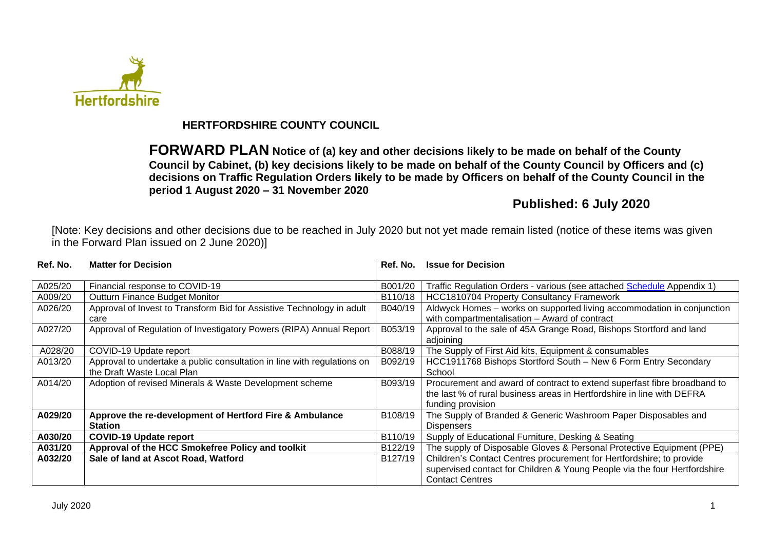

# **HERTFORDSHIRE COUNTY COUNCIL**

**FORWARD PLAN Notice of (a) key and other decisions likely to be made on behalf of the County Council by Cabinet, (b) key decisions likely to be made on behalf of the County Council by Officers and (c) decisions on Traffic Regulation Orders likely to be made by Officers on behalf of the County Council in the period 1 August 2020 – 31 November 2020**

# **Published: 6 July 2020**

[Note: Key decisions and other decisions due to be reached in July 2020 but not yet made remain listed (notice of these items was given in the Forward Plan issued on 2 June 2020)]

| Ref. No. | <b>Matter for Decision</b>                                                                            | Ref. No. | <b>Issue for Decision</b>                                                                                                                                               |
|----------|-------------------------------------------------------------------------------------------------------|----------|-------------------------------------------------------------------------------------------------------------------------------------------------------------------------|
| A025/20  | Financial response to COVID-19                                                                        | B001/20  | Traffic Regulation Orders - various (see attached Schedule Appendix 1)                                                                                                  |
| A009/20  | <b>Outturn Finance Budget Monitor</b>                                                                 | B110/18  | <b>HCC1810704 Property Consultancy Framework</b>                                                                                                                        |
| A026/20  | Approval of Invest to Transform Bid for Assistive Technology in adult<br>care                         | B040/19  | Aldwyck Homes - works on supported living accommodation in conjunction<br>with compartmentalisation - Award of contract                                                 |
| A027/20  | Approval of Regulation of Investigatory Powers (RIPA) Annual Report                                   | B053/19  | Approval to the sale of 45A Grange Road, Bishops Stortford and land<br>adjoining                                                                                        |
| A028/20  | COVID-19 Update report                                                                                | B088/19  | The Supply of First Aid kits, Equipment & consumables                                                                                                                   |
| A013/20  | Approval to undertake a public consultation in line with regulations on<br>the Draft Waste Local Plan | B092/19  | HCC1911768 Bishops Stortford South - New 6 Form Entry Secondary<br>School                                                                                               |
| A014/20  | Adoption of revised Minerals & Waste Development scheme                                               | B093/19  | Procurement and award of contract to extend superfast fibre broadband to<br>the last % of rural business areas in Hertfordshire in line with DEFRA<br>funding provision |
| A029/20  | Approve the re-development of Hertford Fire & Ambulance<br><b>Station</b>                             | B108/19  | The Supply of Branded & Generic Washroom Paper Disposables and<br><b>Dispensers</b>                                                                                     |
| A030/20  | <b>COVID-19 Update report</b>                                                                         | B110/19  | Supply of Educational Furniture, Desking & Seating                                                                                                                      |
| A031/20  | Approval of the HCC Smokefree Policy and toolkit                                                      | B122/19  | The supply of Disposable Gloves & Personal Protective Equipment (PPE)                                                                                                   |
| A032/20  | Sale of land at Ascot Road, Watford                                                                   | B127/19  | Children's Contact Centres procurement for Hertfordshire; to provide                                                                                                    |
|          |                                                                                                       |          | supervised contact for Children & Young People via the four Hertfordshire<br><b>Contact Centres</b>                                                                     |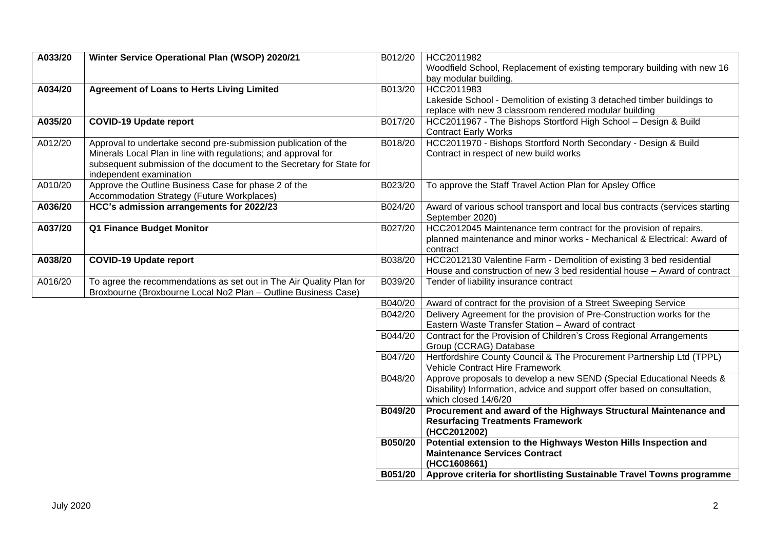| A033/20 | Winter Service Operational Plan (WSOP) 2020/21                       | B012/20        | HCC2011982                                                                                                                                        |
|---------|----------------------------------------------------------------------|----------------|---------------------------------------------------------------------------------------------------------------------------------------------------|
|         |                                                                      |                | Woodfield School, Replacement of existing temporary building with new 16                                                                          |
|         |                                                                      |                | bay modular building.                                                                                                                             |
| A034/20 | <b>Agreement of Loans to Herts Living Limited</b>                    | B013/20        | HCC2011983                                                                                                                                        |
|         |                                                                      |                | Lakeside School - Demolition of existing 3 detached timber buildings to                                                                           |
|         |                                                                      |                | replace with new 3 classroom rendered modular building                                                                                            |
| A035/20 | <b>COVID-19 Update report</b>                                        | B017/20        | HCC2011967 - The Bishops Stortford High School - Design & Build                                                                                   |
|         |                                                                      |                | <b>Contract Early Works</b>                                                                                                                       |
| A012/20 | Approval to undertake second pre-submission publication of the       | B018/20        | HCC2011970 - Bishops Stortford North Secondary - Design & Build                                                                                   |
|         | Minerals Local Plan in line with regulations; and approval for       |                | Contract in respect of new build works                                                                                                            |
|         | subsequent submission of the document to the Secretary for State for |                |                                                                                                                                                   |
|         | independent examination                                              |                |                                                                                                                                                   |
| A010/20 | Approve the Outline Business Case for phase 2 of the                 | B023/20        | To approve the Staff Travel Action Plan for Apsley Office                                                                                         |
|         | Accommodation Strategy (Future Workplaces)                           |                |                                                                                                                                                   |
| A036/20 | HCC's admission arrangements for 2022/23                             | B024/20        | Award of various school transport and local bus contracts (services starting                                                                      |
|         |                                                                      |                | September 2020)                                                                                                                                   |
| A037/20 | Q1 Finance Budget Monitor                                            | B027/20        | HCC2012045 Maintenance term contract for the provision of repairs,                                                                                |
|         |                                                                      |                | planned maintenance and minor works - Mechanical & Electrical: Award of                                                                           |
| A038/20 |                                                                      |                | contract                                                                                                                                          |
|         | <b>COVID-19 Update report</b>                                        | B038/20        | HCC2012130 Valentine Farm - Demolition of existing 3 bed residential<br>House and construction of new 3 bed residential house - Award of contract |
| A016/20 | To agree the recommendations as set out in The Air Quality Plan for  | B039/20        | Tender of liability insurance contract                                                                                                            |
|         | Broxbourne (Broxbourne Local No2 Plan - Outline Business Case)       |                |                                                                                                                                                   |
|         |                                                                      | B040/20        | Award of contract for the provision of a Street Sweeping Service                                                                                  |
|         |                                                                      | B042/20        | Delivery Agreement for the provision of Pre-Construction works for the                                                                            |
|         |                                                                      |                | Eastern Waste Transfer Station - Award of contract                                                                                                |
|         |                                                                      | B044/20        | Contract for the Provision of Children's Cross Regional Arrangements                                                                              |
|         |                                                                      |                | Group (CCRAG) Database                                                                                                                            |
|         |                                                                      | B047/20        | Hertfordshire County Council & The Procurement Partnership Ltd (TPPL)                                                                             |
|         |                                                                      |                | <b>Vehicle Contract Hire Framework</b>                                                                                                            |
|         |                                                                      | B048/20        | Approve proposals to develop a new SEND (Special Educational Needs &                                                                              |
|         |                                                                      |                | Disability) Information, advice and support offer based on consultation,                                                                          |
|         |                                                                      |                | which closed 14/6/20                                                                                                                              |
|         |                                                                      | B049/20        | Procurement and award of the Highways Structural Maintenance and                                                                                  |
|         |                                                                      |                | <b>Resurfacing Treatments Framework</b>                                                                                                           |
|         |                                                                      |                | (HCC2012002)                                                                                                                                      |
|         |                                                                      | <b>B050/20</b> | Potential extension to the Highways Weston Hills Inspection and                                                                                   |
|         |                                                                      |                | <b>Maintenance Services Contract</b>                                                                                                              |
|         |                                                                      |                | (HCC1608661)                                                                                                                                      |
|         |                                                                      | B051/20        | Approve criteria for shortlisting Sustainable Travel Towns programme                                                                              |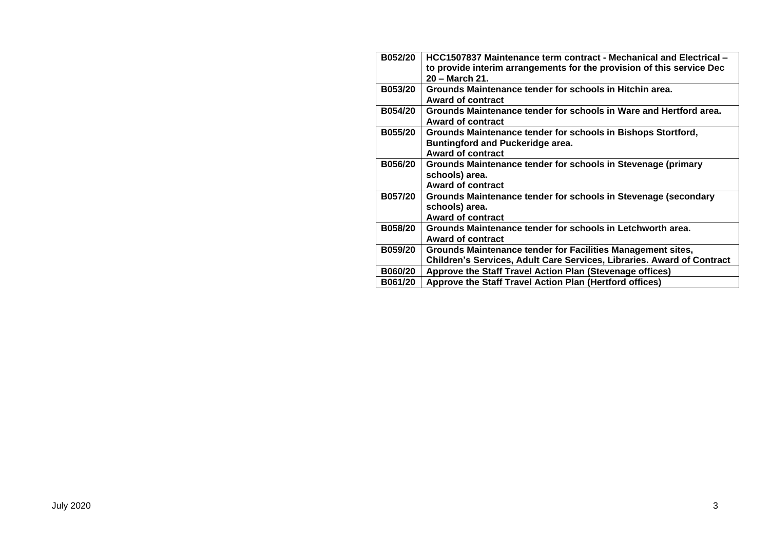| B052/20        | HCC1507837 Maintenance term contract - Mechanical and Electrical -     |
|----------------|------------------------------------------------------------------------|
|                | to provide interim arrangements for the provision of this service Dec  |
|                | 20 - March 21.                                                         |
| <b>B053/20</b> | Grounds Maintenance tender for schools in Hitchin area.                |
|                | <b>Award of contract</b>                                               |
| <b>B054/20</b> | Grounds Maintenance tender for schools in Ware and Hertford area.      |
|                | <b>Award of contract</b>                                               |
| B055/20        | Grounds Maintenance tender for schools in Bishops Stortford,           |
|                | <b>Buntingford and Puckeridge area.</b>                                |
|                | <b>Award of contract</b>                                               |
| B056/20        | Grounds Maintenance tender for schools in Stevenage (primary           |
|                | schools) area.                                                         |
|                | <b>Award of contract</b>                                               |
| B057/20        | Grounds Maintenance tender for schools in Stevenage (secondary         |
|                | schools) area.                                                         |
|                | <b>Award of contract</b>                                               |
| B058/20        | Grounds Maintenance tender for schools in Letchworth area.             |
|                | <b>Award of contract</b>                                               |
| B059/20        | Grounds Maintenance tender for Facilities Management sites,            |
|                | Children's Services, Adult Care Services, Libraries. Award of Contract |
| B060/20        | Approve the Staff Travel Action Plan (Stevenage offices)               |
| B061/20        | Approve the Staff Travel Action Plan (Hertford offices)                |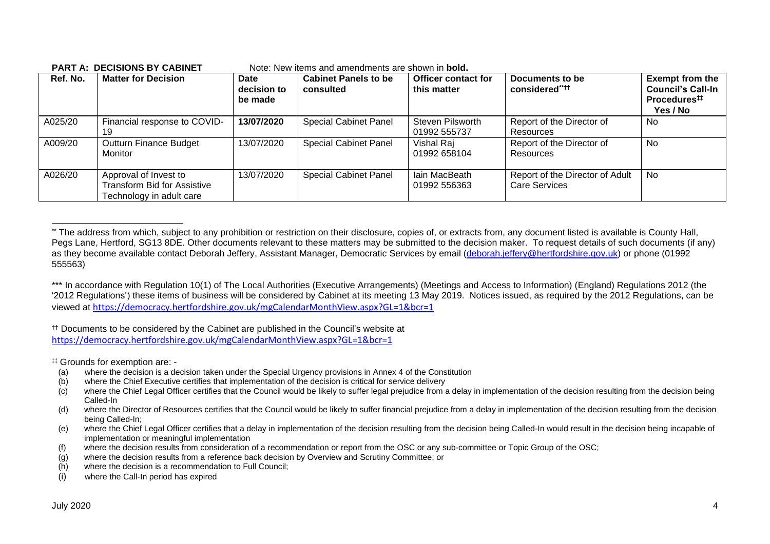| Ref. No. | <b>Matter for Decision</b>                                                       | <b>Date</b><br>decision to<br>be made | <b>Cabinet Panels to be</b><br>consulted | Officer contact for<br>this matter | Documents to be<br>considered****                       | <b>Exempt from the</b><br><b>Council's Call-In</b><br>Procedures <sup>##</sup><br>Yes / No |
|----------|----------------------------------------------------------------------------------|---------------------------------------|------------------------------------------|------------------------------------|---------------------------------------------------------|--------------------------------------------------------------------------------------------|
| A025/20  | Financial response to COVID-                                                     | 13/07/2020                            | <b>Special Cabinet Panel</b>             | Steven Pilsworth<br>01992 555737   | Report of the Director of<br>Resources                  | No                                                                                         |
| A009/20  | <b>Outturn Finance Budget</b><br>Monitor                                         | 13/07/2020                            | <b>Special Cabinet Panel</b>             | Vishal Raj<br>01992 658104         | Report of the Director of<br>Resources                  | No                                                                                         |
| A026/20  | Approval of Invest to<br>Transform Bid for Assistive<br>Technology in adult care | 13/07/2020                            | <b>Special Cabinet Panel</b>             | Iain MacBeath<br>01992 556363      | Report of the Director of Adult<br><b>Care Services</b> | No                                                                                         |

#### **PART A: DECISIONS BY CABINET** Note: New items and amendments are shown in **bold.**

†† Documents to be considered by the Cabinet are published in the Council's website at <https://democracy.hertfordshire.gov.uk/mgCalendarMonthView.aspx?GL=1&bcr=1>

‡‡ Grounds for exemption are: -

- (a) where the decision is a decision taken under the Special Urgency provisions in Annex 4 of the Constitution
- (b) where the Chief Executive certifies that implementation of the decision is critical for service delivery
- (c) where the Chief Legal Officer certifies that the Council would be likely to suffer legal prejudice from a delay in implementation of the decision resulting from the decision being Called-In
- (d) where the Director of Resources certifies that the Council would be likely to suffer financial prejudice from a delay in implementation of the decision resulting from the decision being Called-In;
- (e) where the Chief Legal Officer certifies that a delay in implementation of the decision resulting from the decision being Called-In would result in the decision being incapable of implementation or meaningful implementation
- (f) where the decision results from consideration of a recommendation or report from the OSC or any sub-committee or Topic Group of the OSC;
- (g) where the decision results from a reference back decision by Overview and Scrutiny Committee; or
- (h) where the decision is a recommendation to Full Council;
- (i) where the Call-In period has expired

<sup>\*\*</sup> The address from which, subject to any prohibition or restriction on their disclosure, copies of, or extracts from, any document listed is available is County Hall, Pegs Lane, Hertford, SG13 8DE. Other documents relevant to these matters may be submitted to the decision maker. To request details of such documents (if any) as they become available contact Deborah Jeffery, Assistant Manager, Democratic Services by email [\(deborah.jeffery@hertfordshire.gov.uk\)](mailto:deborah.jeffery@hertfordshire.gov.uk) or phone (01992 555563)

<sup>\*\*\*</sup> In accordance with Regulation 10(1) of The Local Authorities (Executive Arrangements) (Meetings and Access to Information) (England) Regulations 2012 (the '2012 Regulations') these items of business will be considered by Cabinet at its meeting 13 May 2019. Notices issued, as required by the 2012 Regulations, can be viewed at <https://democracy.hertfordshire.gov.uk/mgCalendarMonthView.aspx?GL=1&bcr=1>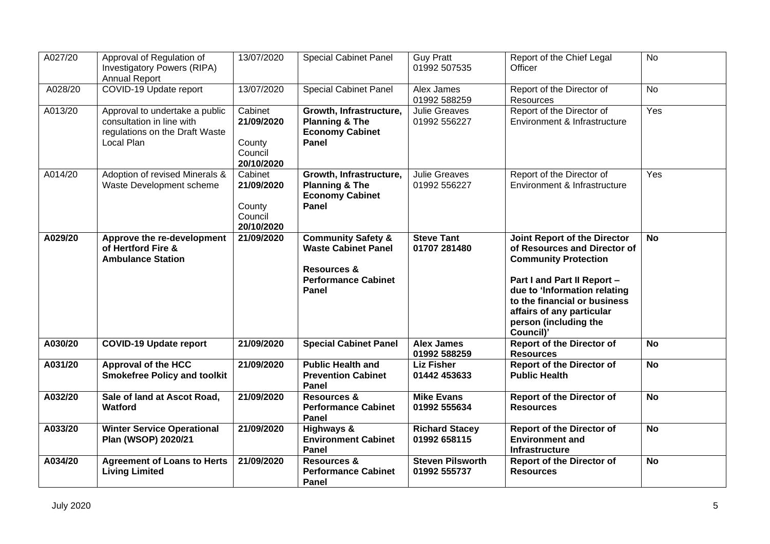| A027/20 | Approval of Regulation of<br>Investigatory Powers (RIPA)<br><b>Annual Report</b>                            | 13/07/2020                                               | <b>Special Cabinet Panel</b>                                                                                                 | <b>Guy Pratt</b><br>01992 507535        | Report of the Chief Legal<br>Officer                                                                                                                                                                                                                          | $\overline{N}$ |
|---------|-------------------------------------------------------------------------------------------------------------|----------------------------------------------------------|------------------------------------------------------------------------------------------------------------------------------|-----------------------------------------|---------------------------------------------------------------------------------------------------------------------------------------------------------------------------------------------------------------------------------------------------------------|----------------|
| A028/20 | COVID-19 Update report                                                                                      | 13/07/2020                                               | <b>Special Cabinet Panel</b>                                                                                                 | Alex James<br>01992 588259              | Report of the Director of<br>Resources                                                                                                                                                                                                                        | <b>No</b>      |
| A013/20 | Approval to undertake a public<br>consultation in line with<br>regulations on the Draft Waste<br>Local Plan | Cabinet<br>21/09/2020<br>County<br>Council<br>20/10/2020 | Growth, Infrastructure,<br><b>Planning &amp; The</b><br><b>Economy Cabinet</b><br>Panel                                      | Julie Greaves<br>01992 556227           | Report of the Director of<br>Environment & Infrastructure                                                                                                                                                                                                     | Yes            |
| A014/20 | Adoption of revised Minerals &<br>Waste Development scheme                                                  | Cabinet<br>21/09/2020<br>County<br>Council<br>20/10/2020 | Growth, Infrastructure,<br><b>Planning &amp; The</b><br><b>Economy Cabinet</b><br>Panel                                      | <b>Julie Greaves</b><br>01992 556227    | Report of the Director of<br>Environment & Infrastructure                                                                                                                                                                                                     | Yes            |
| A029/20 | Approve the re-development<br>of Hertford Fire &<br><b>Ambulance Station</b>                                | 21/09/2020                                               | <b>Community Safety &amp;</b><br><b>Waste Cabinet Panel</b><br><b>Resources &amp;</b><br><b>Performance Cabinet</b><br>Panel | <b>Steve Tant</b><br>01707 281480       | Joint Report of the Director<br>of Resources and Director of<br><b>Community Protection</b><br>Part I and Part II Report -<br>due to 'Information relating<br>to the financial or business<br>affairs of any particular<br>person (including the<br>Council)' | <b>No</b>      |
| A030/20 | <b>COVID-19 Update report</b>                                                                               | 21/09/2020                                               | <b>Special Cabinet Panel</b>                                                                                                 | <b>Alex James</b><br>01992 588259       | <b>Report of the Director of</b><br><b>Resources</b>                                                                                                                                                                                                          | <b>No</b>      |
| A031/20 | <b>Approval of the HCC</b><br><b>Smokefree Policy and toolkit</b>                                           | 21/09/2020                                               | <b>Public Health and</b><br><b>Prevention Cabinet</b><br>Panel                                                               | <b>Liz Fisher</b><br>01442 453633       | <b>Report of the Director of</b><br><b>Public Health</b>                                                                                                                                                                                                      | <b>No</b>      |
| A032/20 | Sale of land at Ascot Road,<br><b>Watford</b>                                                               | 21/09/2020                                               | <b>Resources &amp;</b><br><b>Performance Cabinet</b><br>Panel                                                                | <b>Mike Evans</b><br>01992 555634       | <b>Report of the Director of</b><br><b>Resources</b>                                                                                                                                                                                                          | <b>No</b>      |
| A033/20 | <b>Winter Service Operational</b><br>Plan (WSOP) 2020/21                                                    | 21/09/2020                                               | <b>Highways &amp;</b><br><b>Environment Cabinet</b><br>Panel                                                                 | <b>Richard Stacey</b><br>01992 658115   | <b>Report of the Director of</b><br><b>Environment and</b><br>Infrastructure                                                                                                                                                                                  | <b>No</b>      |
| A034/20 | <b>Agreement of Loans to Herts</b><br><b>Living Limited</b>                                                 | 21/09/2020                                               | Resources &<br><b>Performance Cabinet</b><br>Panel                                                                           | <b>Steven Pilsworth</b><br>01992 555737 | <b>Report of the Director of</b><br><b>Resources</b>                                                                                                                                                                                                          | $\overline{N}$ |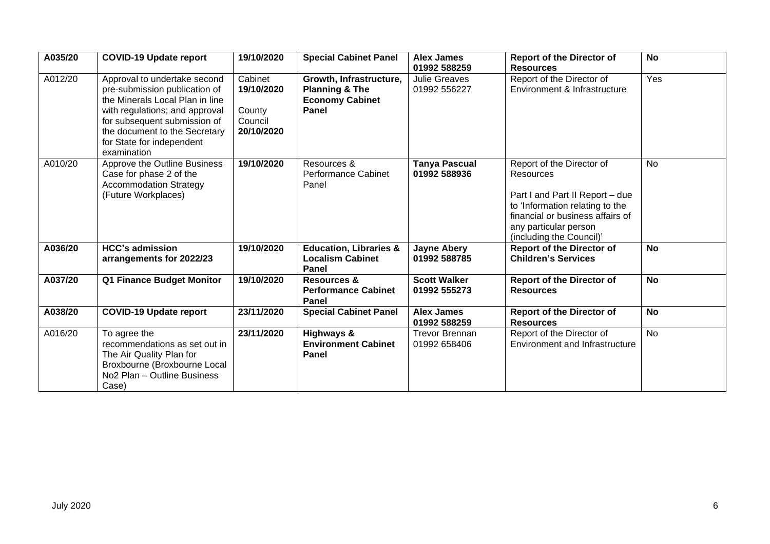| A035/20 | <b>COVID-19 Update report</b>                                                                                                                                                                                                                   | 19/10/2020                                               | <b>Special Cabinet Panel</b>                                                            | <b>Alex James</b><br>01992 588259     | <b>Report of the Director of</b><br><b>Resources</b>                                                                                                                                                  | <b>No</b> |
|---------|-------------------------------------------------------------------------------------------------------------------------------------------------------------------------------------------------------------------------------------------------|----------------------------------------------------------|-----------------------------------------------------------------------------------------|---------------------------------------|-------------------------------------------------------------------------------------------------------------------------------------------------------------------------------------------------------|-----------|
| A012/20 | Approval to undertake second<br>pre-submission publication of<br>the Minerals Local Plan in line<br>with regulations; and approval<br>for subsequent submission of<br>the document to the Secretary<br>for State for independent<br>examination | Cabinet<br>19/10/2020<br>County<br>Council<br>20/10/2020 | Growth, Infrastructure,<br><b>Planning &amp; The</b><br><b>Economy Cabinet</b><br>Panel | <b>Julie Greaves</b><br>01992 556227  | Report of the Director of<br>Environment & Infrastructure                                                                                                                                             | Yes       |
| A010/20 | Approve the Outline Business<br>Case for phase 2 of the<br><b>Accommodation Strategy</b><br>(Future Workplaces)                                                                                                                                 | 19/10/2020                                               | Resources &<br><b>Performance Cabinet</b><br>Panel                                      | <b>Tanya Pascual</b><br>01992 588936  | Report of the Director of<br>Resources<br>Part I and Part II Report - due<br>to 'Information relating to the<br>financial or business affairs of<br>any particular person<br>(including the Council)' | No        |
| A036/20 | <b>HCC's admission</b><br>arrangements for 2022/23                                                                                                                                                                                              | 19/10/2020                                               | <b>Education, Libraries &amp;</b><br><b>Localism Cabinet</b><br>Panel                   | <b>Jayne Abery</b><br>01992 588785    | <b>Report of the Director of</b><br><b>Children's Services</b>                                                                                                                                        | <b>No</b> |
| A037/20 | Q1 Finance Budget Monitor                                                                                                                                                                                                                       | 19/10/2020                                               | <b>Resources &amp;</b><br><b>Performance Cabinet</b><br>Panel                           | <b>Scott Walker</b><br>01992 555273   | <b>Report of the Director of</b><br><b>Resources</b>                                                                                                                                                  | <b>No</b> |
| A038/20 | <b>COVID-19 Update report</b>                                                                                                                                                                                                                   | 23/11/2020                                               | <b>Special Cabinet Panel</b>                                                            | <b>Alex James</b><br>01992 588259     | <b>Report of the Director of</b><br><b>Resources</b>                                                                                                                                                  | <b>No</b> |
| A016/20 | To agree the<br>recommendations as set out in<br>The Air Quality Plan for<br>Broxbourne (Broxbourne Local<br>No <sub>2</sub> Plan - Outline Business<br>Case)                                                                                   | 23/11/2020                                               | Highways &<br><b>Environment Cabinet</b><br>Panel                                       | <b>Trevor Brennan</b><br>01992 658406 | Report of the Director of<br>Environment and Infrastructure                                                                                                                                           | <b>No</b> |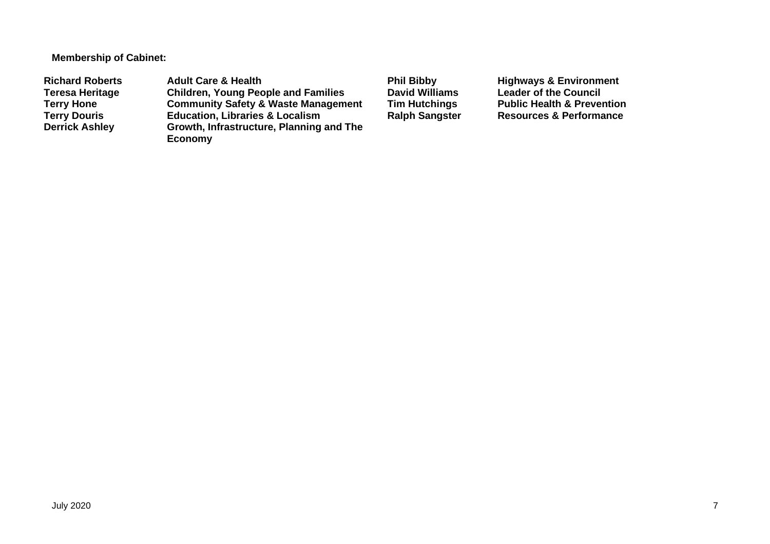**Membership of Cabinet:**

Richard Roberts **Adult Care & Health Phil Bibby** Highways & Environment<br>
Teresa Heritage Children, Young People and Families David Williams Leader of the Council **Teresa Heritage Children, Young People and Families David Williams Leader of the Council Terry Hone Community Safety & Waste Management Tim Hutchings** Public Health & Prevention<br> **Terry Douris Education, Libraries & Localism** Ralph Sangster Resources & Performance **Terry Douris Education, Libraries & Localism <br>Derrick Ashley <b>Ralph** Growth, Infrastructure, Planning **Growth, Infrastructure, Planning and The Economy**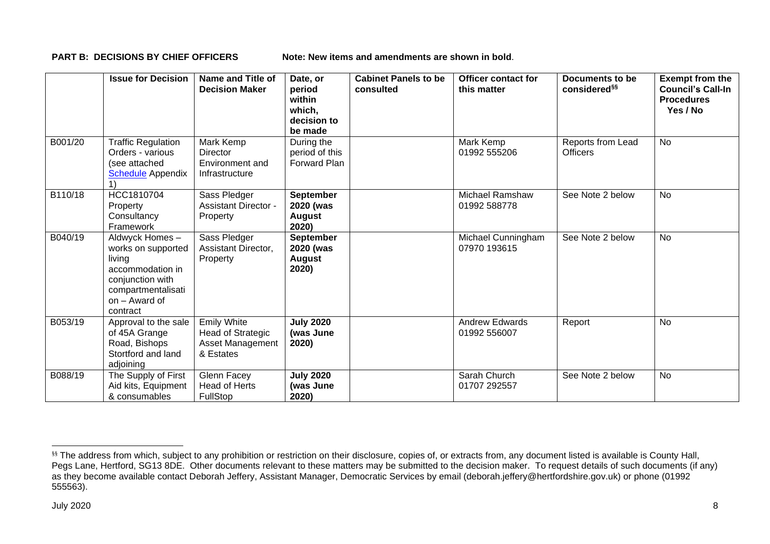**PART B: DECISIONS BY CHIEF OFFICERS Note: New items and amendments are shown in bold**.

|         | <b>Issue for Decision</b>                                                                                                                 | Name and Title of<br><b>Decision Maker</b>                               | Date, or<br>period<br>within<br>which,<br>decision to<br>be made | <b>Cabinet Panels to be</b><br>consulted | Officer contact for<br>this matter     | Documents to be<br>considered <sup>§§</sup> | <b>Exempt from the</b><br><b>Council's Call-In</b><br><b>Procedures</b><br>Yes / No |
|---------|-------------------------------------------------------------------------------------------------------------------------------------------|--------------------------------------------------------------------------|------------------------------------------------------------------|------------------------------------------|----------------------------------------|---------------------------------------------|-------------------------------------------------------------------------------------|
| B001/20 | <b>Traffic Regulation</b><br>Orders - various<br>(see attached<br><b>Schedule</b> Appendix                                                | Mark Kemp<br><b>Director</b><br>Environment and<br>Infrastructure        | During the<br>period of this<br><b>Forward Plan</b>              |                                          | Mark Kemp<br>01992 555206              | Reports from Lead<br><b>Officers</b>        | No                                                                                  |
| B110/18 | HCC1810704<br>Property<br>Consultancy<br>Framework                                                                                        | Sass Pledger<br><b>Assistant Director -</b><br>Property                  | <b>September</b><br>2020 (was<br><b>August</b><br>2020)          |                                          | <b>Michael Ramshaw</b><br>01992 588778 | See Note 2 below                            | <b>No</b>                                                                           |
| B040/19 | Aldwyck Homes-<br>works on supported<br>living<br>accommodation in<br>conjunction with<br>compartmentalisati<br>on - Award of<br>contract | Sass Pledger<br>Assistant Director,<br>Property                          | September<br>2020 (was<br><b>August</b><br>2020)                 |                                          | Michael Cunningham<br>07970 193615     | See Note 2 below                            | <b>No</b>                                                                           |
| B053/19 | Approval to the sale<br>of 45A Grange<br>Road, Bishops<br>Stortford and land<br>adjoining                                                 | <b>Emily White</b><br>Head of Strategic<br>Asset Management<br>& Estates | <b>July 2020</b><br>(was June<br>2020)                           |                                          | <b>Andrew Edwards</b><br>01992 556007  | Report                                      | No                                                                                  |
| B088/19 | The Supply of First<br>Aid kits, Equipment<br>& consumables                                                                               | Glenn Facey<br><b>Head of Herts</b><br><b>FullStop</b>                   | <b>July 2020</b><br>(was June<br>2020)                           |                                          | Sarah Church<br>01707 292557           | See Note 2 below                            | <b>No</b>                                                                           |

<sup>&</sup>lt;sup>§§</sup> The address from which, subject to any prohibition or restriction on their disclosure, copies of, or extracts from, any document listed is available is County Hall, Pegs Lane, Hertford, SG13 8DE. Other documents relevant to these matters may be submitted to the decision maker. To request details of such documents (if any) as they become available contact Deborah Jeffery, Assistant Manager, Democratic Services by email (deborah.jeffery@hertfordshire.gov.uk) or phone (01992 555563).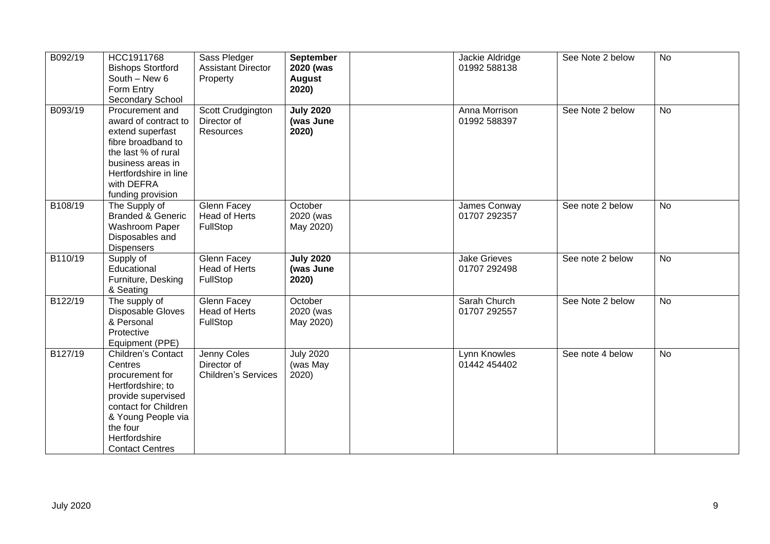| B092/19 | HCC1911768<br><b>Bishops Stortford</b><br>South - New 6<br>Form Entry<br>Secondary School                                                                                                               | Sass Pledger<br><b>Assistant Director</b><br>Property    | <b>September</b><br>2020 (was<br><b>August</b><br>2020) | Jackie Aldridge<br>01992 588138     | See Note 2 below | <b>No</b> |
|---------|---------------------------------------------------------------------------------------------------------------------------------------------------------------------------------------------------------|----------------------------------------------------------|---------------------------------------------------------|-------------------------------------|------------------|-----------|
| B093/19 | Procurement and<br>award of contract to<br>extend superfast<br>fibre broadband to<br>the last % of rural<br>business areas in<br>Hertfordshire in line<br>with DEFRA<br>funding provision               | Scott Crudgington<br>Director of<br>Resources            | <b>July 2020</b><br>(was June<br>2020)                  | Anna Morrison<br>01992 588397       | See Note 2 below | <b>No</b> |
| B108/19 | The Supply of<br><b>Branded &amp; Generic</b><br>Washroom Paper<br>Disposables and<br>Dispensers                                                                                                        | Glenn Facey<br>Head of Herts<br>FullStop                 | October<br>2020 (was<br>May 2020)                       | James Conway<br>01707 292357        | See note 2 below | <b>No</b> |
| B110/19 | Supply of<br>Educational<br>Furniture, Desking<br>& Seating                                                                                                                                             | Glenn Facey<br><b>Head of Herts</b><br>FullStop          | <b>July 2020</b><br>(was June<br>2020)                  | <b>Jake Grieves</b><br>01707 292498 | See note 2 below | <b>No</b> |
| B122/19 | The supply of<br>Disposable Gloves<br>& Personal<br>Protective<br>Equipment (PPE)                                                                                                                       | Glenn Facey<br><b>Head of Herts</b><br>FullStop          | October<br>2020 (was<br>May 2020)                       | Sarah Church<br>01707 292557        | See Note 2 below | <b>No</b> |
| B127/19 | <b>Children's Contact</b><br>Centres<br>procurement for<br>Hertfordshire; to<br>provide supervised<br>contact for Children<br>& Young People via<br>the four<br>Hertfordshire<br><b>Contact Centres</b> | Jenny Coles<br>Director of<br><b>Children's Services</b> | <b>July 2020</b><br>(was May<br>2020)                   | Lynn Knowles<br>01442 454402        | See note 4 below | <b>No</b> |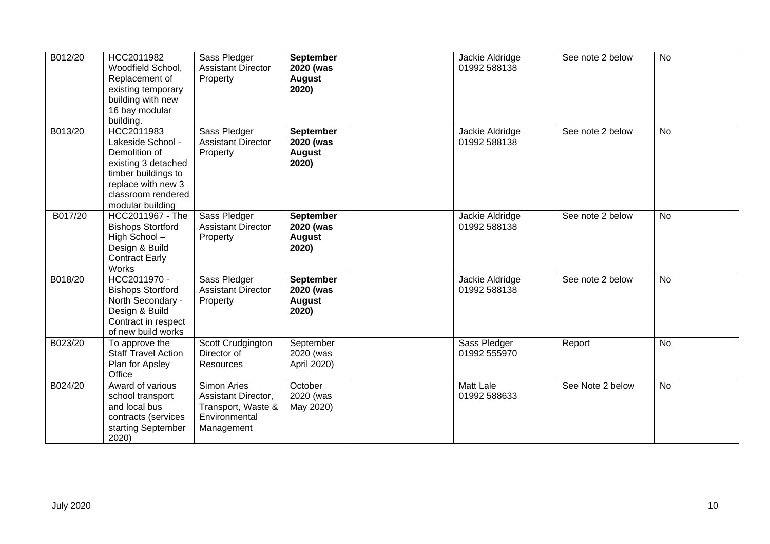| B012/20 | HCC2011982<br>Woodfield School,<br>Replacement of<br>existing temporary<br>building with new<br>16 bay modular<br>building.                                    | Sass Pledger<br><b>Assistant Director</b><br>Property                                   | <b>September</b><br>2020 (was<br><b>August</b><br>2020) | Jackie Aldridge<br>01992 588138  | See note 2 below | <b>No</b> |
|---------|----------------------------------------------------------------------------------------------------------------------------------------------------------------|-----------------------------------------------------------------------------------------|---------------------------------------------------------|----------------------------------|------------------|-----------|
| B013/20 | HCC2011983<br>Lakeside School -<br>Demolition of<br>existing 3 detached<br>timber buildings to<br>replace with new 3<br>classroom rendered<br>modular building | Sass Pledger<br><b>Assistant Director</b><br>Property                                   | September<br>2020 (was<br><b>August</b><br>2020)        | Jackie Aldridge<br>01992 588138  | See note 2 below | No        |
| B017/20 | HCC2011967 - The<br><b>Bishops Stortford</b><br>High School-<br>Design & Build<br><b>Contract Early</b><br>Works                                               | Sass Pledger<br><b>Assistant Director</b><br>Property                                   | September<br>2020 (was<br><b>August</b><br>2020)        | Jackie Aldridge<br>01992 588138  | See note 2 below | <b>No</b> |
| B018/20 | HCC2011970 -<br><b>Bishops Stortford</b><br>North Secondary -<br>Design & Build<br>Contract in respect<br>of new build works                                   | Sass Pledger<br><b>Assistant Director</b><br>Property                                   | <b>September</b><br>2020 (was<br><b>August</b><br>2020) | Jackie Aldridge<br>01992 588138  | See note 2 below | <b>No</b> |
| B023/20 | To approve the<br><b>Staff Travel Action</b><br>Plan for Apsley<br>Office                                                                                      | Scott Crudgington<br>Director of<br>Resources                                           | September<br>2020 (was<br>April 2020)                   | Sass Pledger<br>01992 555970     | Report           | No        |
| B024/20 | Award of various<br>school transport<br>and local bus<br>contracts (services<br>starting September<br>2020)                                                    | Simon Aries<br>Assistant Director,<br>Transport, Waste &<br>Environmental<br>Management | October<br>2020 (was<br>May 2020)                       | <b>Matt Lale</b><br>01992 588633 | See Note 2 below | <b>No</b> |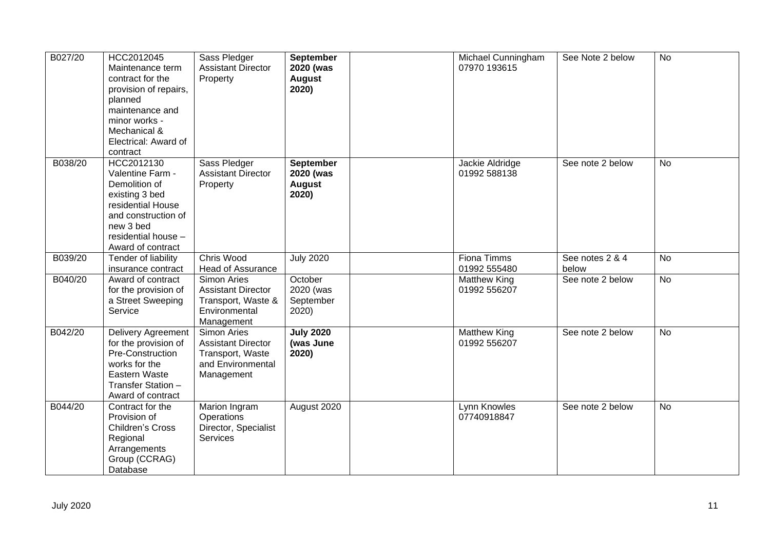| B027/20 | HCC2012045<br>Maintenance term<br>contract for the<br>provision of repairs,<br>planned<br>maintenance and<br>minor works -<br>Mechanical &<br>Electrical: Award of<br>contract | Sass Pledger<br><b>Assistant Director</b><br>Property                                                | <b>September</b><br>2020 (was<br><b>August</b><br>2020) | Michael Cunningham<br>07970 193615  | See Note 2 below         | <b>No</b>      |
|---------|--------------------------------------------------------------------------------------------------------------------------------------------------------------------------------|------------------------------------------------------------------------------------------------------|---------------------------------------------------------|-------------------------------------|--------------------------|----------------|
| B038/20 | HCC2012130<br>Valentine Farm -<br>Demolition of<br>existing 3 bed<br>residential House<br>and construction of<br>new 3 bed<br>residential house -<br>Award of contract         | Sass Pledger<br><b>Assistant Director</b><br>Property                                                | <b>September</b><br>2020 (was<br><b>August</b><br>2020) | Jackie Aldridge<br>01992 588138     | See note 2 below         | No             |
| B039/20 | Tender of liability<br>insurance contract                                                                                                                                      | Chris Wood<br><b>Head of Assurance</b>                                                               | <b>July 2020</b>                                        | <b>Fiona Timms</b><br>01992 555480  | See notes 2 & 4<br>below | $\overline{N}$ |
| B040/20 | Award of contract<br>for the provision of<br>a Street Sweeping<br>Service                                                                                                      | <b>Simon Aries</b><br><b>Assistant Director</b><br>Transport, Waste &<br>Environmental<br>Management | October<br>2020 (was<br>September<br>2020)              | <b>Matthew King</b><br>01992 556207 | See note 2 below         | No             |
| B042/20 | Delivery Agreement<br>for the provision of<br>Pre-Construction<br>works for the<br>Eastern Waste<br>Transfer Station -<br>Award of contract                                    | Simon Aries<br><b>Assistant Director</b><br>Transport, Waste<br>and Environmental<br>Management      | <b>July 2020</b><br>(was June<br>2020)                  | <b>Matthew King</b><br>01992 556207 | See note 2 below         | <b>No</b>      |
| B044/20 | Contract for the<br>Provision of<br>Children's Cross<br>Regional<br>Arrangements<br>Group (CCRAG)<br>Database                                                                  | Marion Ingram<br>Operations<br>Director, Specialist<br>Services                                      | August 2020                                             | Lynn Knowles<br>07740918847         | See note 2 below         | <b>No</b>      |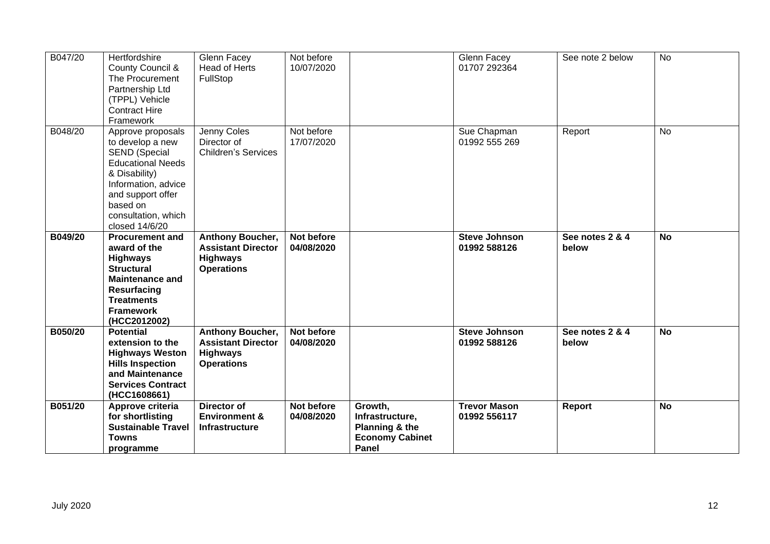| B047/20 | Hertfordshire<br>County Council &<br>The Procurement<br>Partnership Ltd<br>(TPPL) Vehicle<br><b>Contract Hire</b><br>Framework                                                                              | Glenn Facey<br>Head of Herts<br>FullStop                                                     | Not before<br>10/07/2020 |                                                                                 | Glenn Facey<br>01707 292364          | See note 2 below         | <b>No</b> |
|---------|-------------------------------------------------------------------------------------------------------------------------------------------------------------------------------------------------------------|----------------------------------------------------------------------------------------------|--------------------------|---------------------------------------------------------------------------------|--------------------------------------|--------------------------|-----------|
| B048/20 | Approve proposals<br>to develop a new<br><b>SEND (Special</b><br><b>Educational Needs</b><br>& Disability)<br>Information, advice<br>and support offer<br>based on<br>consultation, which<br>closed 14/6/20 | Jenny Coles<br>Director of<br><b>Children's Services</b>                                     | Not before<br>17/07/2020 |                                                                                 | Sue Chapman<br>01992 555 269         | Report                   | No        |
| B049/20 | <b>Procurement and</b><br>award of the<br><b>Highways</b><br><b>Structural</b><br><b>Maintenance and</b><br><b>Resurfacing</b><br><b>Treatments</b><br><b>Framework</b><br>(HCC2012002)                     | <b>Anthony Boucher,</b><br><b>Assistant Director</b><br><b>Highways</b><br><b>Operations</b> | Not before<br>04/08/2020 |                                                                                 | <b>Steve Johnson</b><br>01992 588126 | See notes 2 & 4<br>below | <b>No</b> |
| B050/20 | <b>Potential</b><br>extension to the<br><b>Highways Weston</b><br><b>Hills Inspection</b><br>and Maintenance<br><b>Services Contract</b><br>(HCC1608661)                                                    | <b>Anthony Boucher,</b><br><b>Assistant Director</b><br><b>Highways</b><br><b>Operations</b> | Not before<br>04/08/2020 |                                                                                 | <b>Steve Johnson</b><br>01992 588126 | See notes 2 & 4<br>below | <b>No</b> |
| B051/20 | Approve criteria<br>for shortlisting<br><b>Sustainable Travel</b><br><b>Towns</b><br>programme                                                                                                              | Director of<br><b>Environment &amp;</b><br>Infrastructure                                    | Not before<br>04/08/2020 | Growth,<br>Infrastructure,<br>Planning & the<br><b>Economy Cabinet</b><br>Panel | <b>Trevor Mason</b><br>01992 556117  | Report                   | <b>No</b> |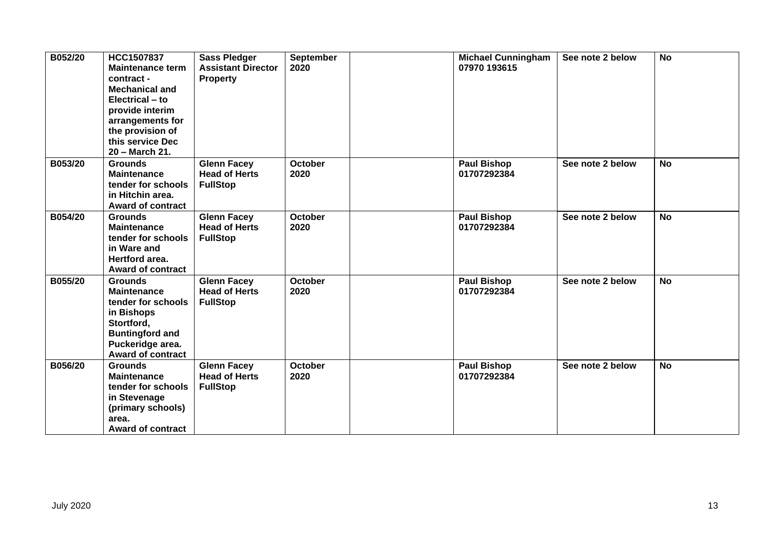| B052/20 | HCC1507837<br><b>Maintenance term</b><br>contract -<br><b>Mechanical and</b><br>Electrical – to<br>provide interim<br>arrangements for<br>the provision of<br>this service Dec<br>20 - March 21. | <b>Sass Pledger</b><br><b>Assistant Director</b><br><b>Property</b> | <b>September</b><br>2020 | <b>Michael Cunningham</b><br>07970 193615 | See note 2 below | <b>No</b> |
|---------|--------------------------------------------------------------------------------------------------------------------------------------------------------------------------------------------------|---------------------------------------------------------------------|--------------------------|-------------------------------------------|------------------|-----------|
| B053/20 | <b>Grounds</b><br><b>Maintenance</b><br>tender for schools<br>in Hitchin area.<br><b>Award of contract</b>                                                                                       | <b>Glenn Facey</b><br><b>Head of Herts</b><br><b>FullStop</b>       | <b>October</b><br>2020   | <b>Paul Bishop</b><br>01707292384         | See note 2 below | <b>No</b> |
| B054/20 | <b>Grounds</b><br><b>Maintenance</b><br>tender for schools<br>in Ware and<br>Hertford area.<br><b>Award of contract</b>                                                                          | <b>Glenn Facey</b><br><b>Head of Herts</b><br><b>FullStop</b>       | <b>October</b><br>2020   | <b>Paul Bishop</b><br>01707292384         | See note 2 below | <b>No</b> |
| B055/20 | <b>Grounds</b><br><b>Maintenance</b><br>tender for schools<br>in Bishops<br>Stortford,<br><b>Buntingford and</b><br>Puckeridge area.<br><b>Award of contract</b>                                 | <b>Glenn Facey</b><br><b>Head of Herts</b><br><b>FullStop</b>       | <b>October</b><br>2020   | <b>Paul Bishop</b><br>01707292384         | See note 2 below | <b>No</b> |
| B056/20 | <b>Grounds</b><br><b>Maintenance</b><br>tender for schools<br>in Stevenage<br>(primary schools)<br>area.<br><b>Award of contract</b>                                                             | <b>Glenn Facey</b><br><b>Head of Herts</b><br><b>FullStop</b>       | <b>October</b><br>2020   | <b>Paul Bishop</b><br>01707292384         | See note 2 below | <b>No</b> |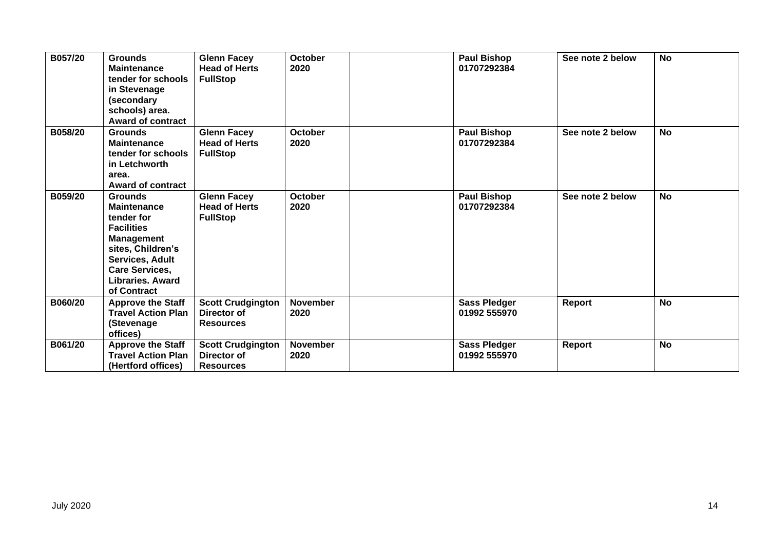| B057/20 | <b>Grounds</b><br><b>Maintenance</b><br>tender for schools<br>in Stevenage<br>(secondary<br>schools) area.<br><b>Award of contract</b>                                                           | <b>Glenn Facey</b><br><b>Head of Herts</b><br><b>FullStop</b> | <b>October</b><br>2020  | <b>Paul Bishop</b><br>01707292384   | See note 2 below | <b>No</b> |
|---------|--------------------------------------------------------------------------------------------------------------------------------------------------------------------------------------------------|---------------------------------------------------------------|-------------------------|-------------------------------------|------------------|-----------|
| B058/20 | <b>Grounds</b><br><b>Maintenance</b><br>tender for schools<br>in Letchworth<br>area.<br><b>Award of contract</b>                                                                                 | <b>Glenn Facey</b><br><b>Head of Herts</b><br><b>FullStop</b> | <b>October</b><br>2020  | <b>Paul Bishop</b><br>01707292384   | See note 2 below | <b>No</b> |
| B059/20 | <b>Grounds</b><br><b>Maintenance</b><br>tender for<br><b>Facilities</b><br><b>Management</b><br>sites, Children's<br><b>Services, Adult</b><br>Care Services,<br>Libraries, Award<br>of Contract | <b>Glenn Facey</b><br><b>Head of Herts</b><br><b>FullStop</b> | <b>October</b><br>2020  | <b>Paul Bishop</b><br>01707292384   | See note 2 below | <b>No</b> |
| B060/20 | <b>Approve the Staff</b><br><b>Travel Action Plan</b><br>(Stevenage<br>offices)                                                                                                                  | <b>Scott Crudgington</b><br>Director of<br><b>Resources</b>   | <b>November</b><br>2020 | <b>Sass Pledger</b><br>01992 555970 | Report           | <b>No</b> |
| B061/20 | <b>Approve the Staff</b><br><b>Travel Action Plan</b><br>(Hertford offices)                                                                                                                      | <b>Scott Crudgington</b><br>Director of<br><b>Resources</b>   | <b>November</b><br>2020 | <b>Sass Pledger</b><br>01992 555970 | Report           | <b>No</b> |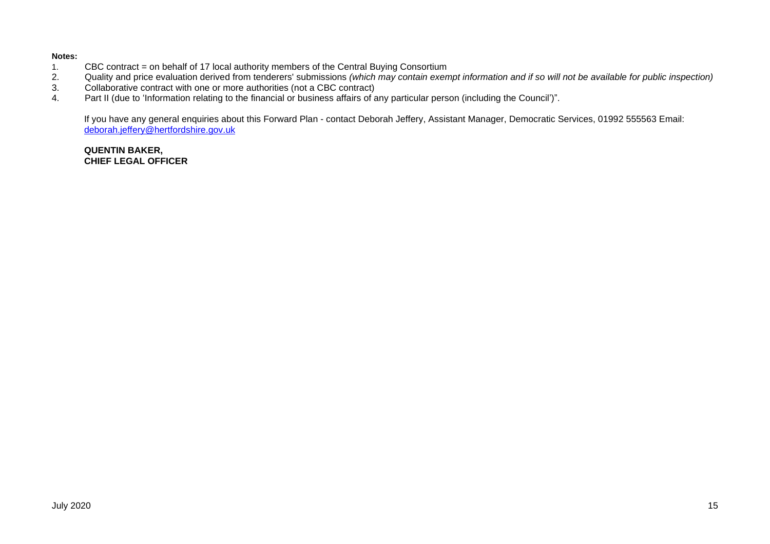#### **Notes:**

- 1. CBC contract = on behalf of 17 local authority members of the Central Buying Consortium<br>2. Quality and price evaluation derived from tenderers' submissions (which may contain exen
- 2. Quality and price evaluation derived from tenderers' submissions *(which may contain exempt information and if so will not be available for public inspection)*
- 3. Collaborative contract with one or more authorities (not a CBC contract)<br>4. Part II (due to 'Information relating to the financial or business affairs of a
- Part II (due to 'Information relating to the financial or business affairs of any particular person (including the Council')".

If you have any general enquiries about this Forward Plan - contact Deborah Jeffery, Assistant Manager, Democratic Services, 01992 555563 Email: [deborah.jeffery@hertfordshire.gov.uk](mailto:deborah.jeffery@hertfordshire.gov.uk) 

#### **QUENTIN BAKER, CHIEF LEGAL OFFICER**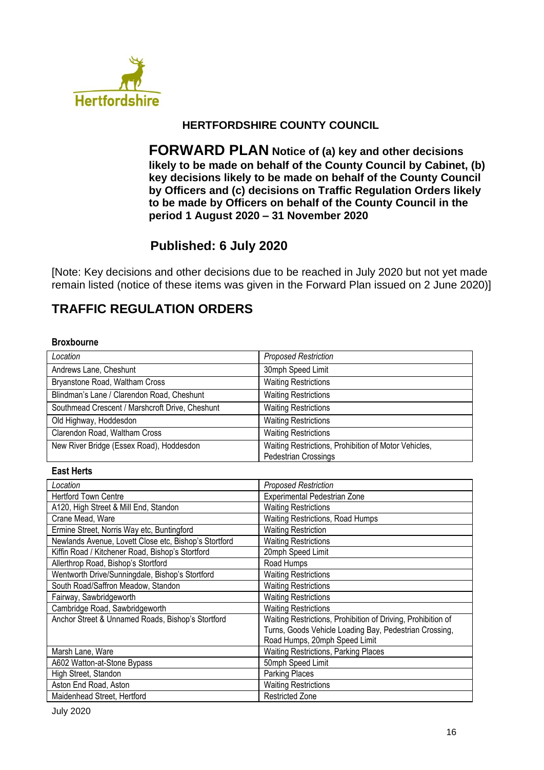

## **HERTFORDSHIRE COUNTY COUNCIL**

**FORWARD PLAN Notice of (a) key and other decisions likely to be made on behalf of the County Council by Cabinet, (b) key decisions likely to be made on behalf of the County Council by Officers and (c) decisions on Traffic Regulation Orders likely to be made by Officers on behalf of the County Council in the period 1 August 2020 – 31 November 2020**

# **Published: 6 July 2020**

[Note: Key decisions and other decisions due to be reached in July 2020 but not yet made remain listed (notice of these items was given in the Forward Plan issued on 2 June 2020)]

# **TRAFFIC REGULATION ORDERS**

#### **Broxbourne**

| Location                                        | <b>Proposed Restriction</b>                                                         |
|-------------------------------------------------|-------------------------------------------------------------------------------------|
| Andrews Lane, Cheshunt                          | 30mph Speed Limit                                                                   |
| Bryanstone Road, Waltham Cross                  | <b>Waiting Restrictions</b>                                                         |
| Blindman's Lane / Clarendon Road, Cheshunt      | <b>Waiting Restrictions</b>                                                         |
| Southmead Crescent / Marshcroft Drive, Cheshunt | <b>Waiting Restrictions</b>                                                         |
| Old Highway, Hoddesdon                          | <b>Waiting Restrictions</b>                                                         |
| Clarendon Road, Waltham Cross                   | <b>Waiting Restrictions</b>                                                         |
| New River Bridge (Essex Road), Hoddesdon        | Waiting Restrictions, Prohibition of Motor Vehicles,<br><b>Pedestrian Crossings</b> |

#### **East Herts**

| Location                                              | <b>Proposed Restriction</b>                                  |
|-------------------------------------------------------|--------------------------------------------------------------|
| <b>Hertford Town Centre</b>                           | Experimental Pedestrian Zone                                 |
| A120, High Street & Mill End, Standon                 | <b>Waiting Restrictions</b>                                  |
| Crane Mead, Ware                                      | Waiting Restrictions, Road Humps                             |
| Ermine Street, Norris Way etc, Buntingford            | <b>Waiting Restriction</b>                                   |
| Newlands Avenue, Lovett Close etc, Bishop's Stortford | <b>Waiting Restrictions</b>                                  |
| Kiffin Road / Kitchener Road, Bishop's Stortford      | 20mph Speed Limit                                            |
| Allerthrop Road, Bishop's Stortford                   | Road Humps                                                   |
| Wentworth Drive/Sunningdale, Bishop's Stortford       | <b>Waiting Restrictions</b>                                  |
| South Road/Saffron Meadow, Standon                    | <b>Waiting Restrictions</b>                                  |
| Fairway, Sawbridgeworth                               | <b>Waiting Restrictions</b>                                  |
| Cambridge Road, Sawbridgeworth                        | <b>Waiting Restrictions</b>                                  |
| Anchor Street & Unnamed Roads, Bishop's Stortford     | Waiting Restrictions, Prohibition of Driving, Prohibition of |
|                                                       | Turns, Goods Vehicle Loading Bay, Pedestrian Crossing,       |
|                                                       | Road Humps, 20mph Speed Limit                                |
| Marsh Lane, Ware                                      | <b>Waiting Restrictions, Parking Places</b>                  |
| A602 Watton-at-Stone Bypass                           | 50mph Speed Limit                                            |
| High Street, Standon                                  | <b>Parking Places</b>                                        |
| Aston End Road, Aston                                 | <b>Waiting Restrictions</b>                                  |
| Maidenhead Street, Hertford                           | <b>Restricted Zone</b>                                       |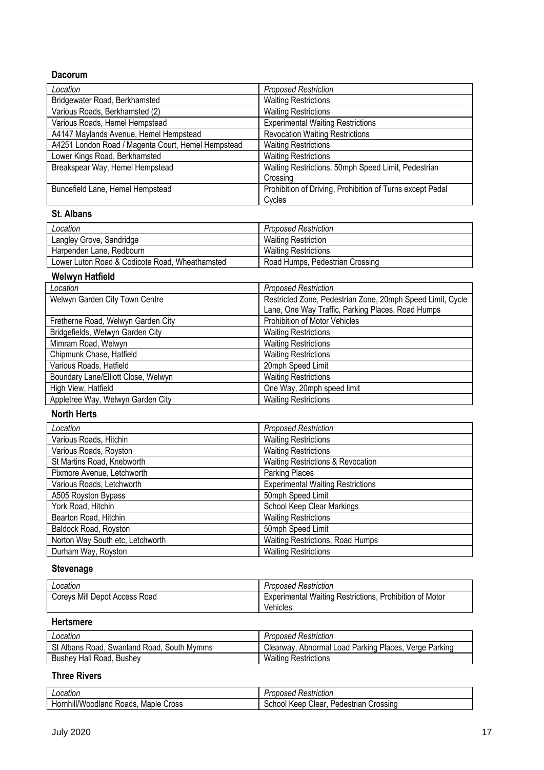### **Dacorum**

| Location                                           | <b>Proposed Restriction</b>                               |
|----------------------------------------------------|-----------------------------------------------------------|
| Bridgewater Road, Berkhamsted                      | <b>Waiting Restrictions</b>                               |
| Various Roads, Berkhamsted (2)                     | <b>Waiting Restrictions</b>                               |
| Various Roads, Hemel Hempstead                     | <b>Experimental Waiting Restrictions</b>                  |
| A4147 Maylands Avenue, Hemel Hempstead             | <b>Revocation Waiting Restrictions</b>                    |
| A4251 London Road / Magenta Court, Hemel Hempstead | <b>Waiting Restrictions</b>                               |
| Lower Kings Road, Berkhamsted                      | <b>Waiting Restrictions</b>                               |
| Breakspear Way, Hemel Hempstead                    | Waiting Restrictions, 50mph Speed Limit, Pedestrian       |
|                                                    | Crossing                                                  |
| Buncefield Lane, Hemel Hempstead                   | Prohibition of Driving, Prohibition of Turns except Pedal |
|                                                    | Cycles                                                    |

#### **St. Albans**

| Location                                       | <b>Proposed Restriction</b>     |
|------------------------------------------------|---------------------------------|
| Langley Grove, Sandridge                       | <b>Waiting Restriction</b>      |
| Harpenden Lane, Redbourn                       | <b>Waiting Restrictions</b>     |
| Lower Luton Road & Codicote Road, Wheathamsted | Road Humps, Pedestrian Crossing |

# **Welwyn Hatfield**

| Location                            | <b>Proposed Restriction</b>                                |
|-------------------------------------|------------------------------------------------------------|
| Welwyn Garden City Town Centre      | Restricted Zone, Pedestrian Zone, 20mph Speed Limit, Cycle |
|                                     | Lane, One Way Traffic, Parking Places, Road Humps          |
| Fretherne Road, Welwyn Garden City  | <b>Prohibition of Motor Vehicles</b>                       |
| Bridgefields, Welwyn Garden City    | <b>Waiting Restrictions</b>                                |
| Mimram Road, Welwyn                 | <b>Waiting Restrictions</b>                                |
| Chipmunk Chase, Hatfield            | <b>Waiting Restrictions</b>                                |
| Various Roads, Hatfield             | 20mph Speed Limit                                          |
| Boundary Lane/Elliott Close, Welwyn | <b>Waiting Restrictions</b>                                |
| High View, Hatfield                 | One Way, 20mph speed limit                                 |
| Appletree Way, Welwyn Garden City   | <b>Waiting Restrictions</b>                                |

#### **North Herts**

| Location                         | <b>Proposed Restriction</b>              |
|----------------------------------|------------------------------------------|
| Various Roads, Hitchin           | <b>Waiting Restrictions</b>              |
| Various Roads, Royston           | <b>Waiting Restrictions</b>              |
| St Martins Road, Knebworth       | Waiting Restrictions & Revocation        |
| Pixmore Avenue, Letchworth       | Parking Places                           |
| Various Roads, Letchworth        | <b>Experimental Waiting Restrictions</b> |
| A505 Royston Bypass              | 50mph Speed Limit                        |
| York Road, Hitchin               | School Keep Clear Markings               |
| Bearton Road, Hitchin            | <b>Waiting Restrictions</b>              |
| Baldock Road, Royston            | 50mph Speed Limit                        |
| Norton Way South etc, Letchworth | <b>Waiting Restrictions, Road Humps</b>  |
| Durham Way, Royston              | <b>Waiting Restrictions</b>              |

# **Stevenage**

| ∟ocation                      | <b>Proposed Restriction</b>                                         |
|-------------------------------|---------------------------------------------------------------------|
| Coreys Mill Depot Access Road | Experimental Waiting Restrictions, Prohibition of Motor<br>Vehicles |

## **Hertsmere**

| Location                                   | <b>Proposed Restriction</b>                           |
|--------------------------------------------|-------------------------------------------------------|
| St Albans Road, Swanland Road, South Mymms | Clearway, Abnormal Load Parking Places, Verge Parking |
| Bushey Hall Road, Bushey                   | <b>Waiting Restrictions</b>                           |

## **Three Rivers**

| calloi                                                                            | $A$ triction<br>----<br>≺esuicuon<br>79 C.A                                      |
|-----------------------------------------------------------------------------------|----------------------------------------------------------------------------------|
| $\sim$ $\sim$<br>Cross<br>Hor<br>Maple<br><b>VV</b><br>Roads.<br>diand<br>, IIIII | `rossına<br>$\sim$ -trian $\sim$<br><br>Clear<br>Keer<br>chool<br>ю<br>эc<br>лаг |